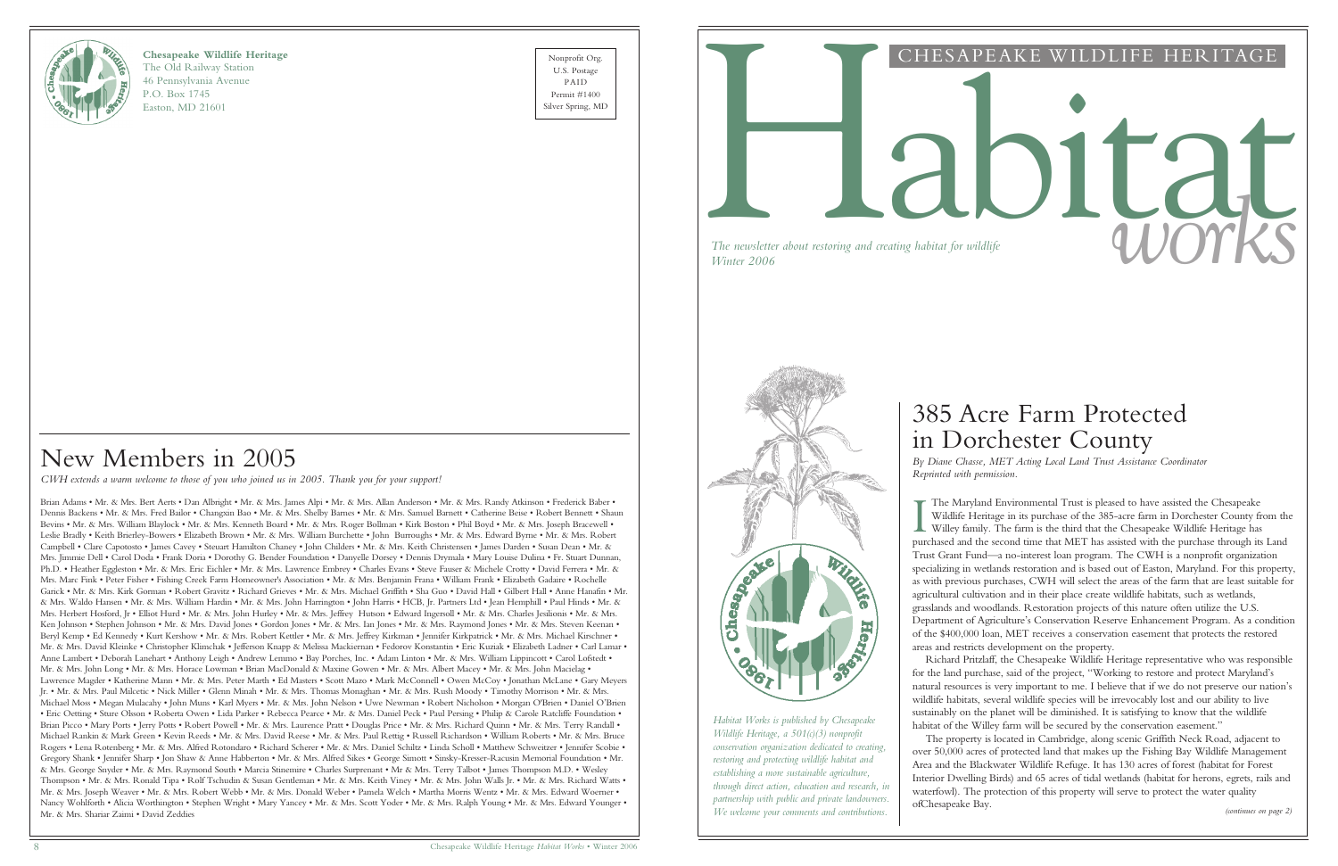

#### **Chesapeake Wildlife Heritage**

The Old Railway Station 46 Pennsylvania Avenue P.O. Box 1745 Easton, MD 21601

Nonprofit Org. U.S. Postage PAID Permit #1400



## CHESAPEAKE WILDLIFE HERITAGE

# *The newsletter about restoring and creating habitat for wildlife* and *COUTRS*

*The newsletter about restoring and creating habitat for wildlife*

The Maryland Environmental Trust is pleased to have assisted the Chesapeake<br>Wildlife Heritage in its purchase of the 385-acre farm in Dorchester County from th<br>Willey family. The farm is the third that the Chesapeake Wildl The Maryland Environmental Trust is pleased to have assisted the Chesapeake Wildlife Heritage in its purchase of the 385-acre farm in Dorchester County from the Willey family. The farm is the third that the Chesapeake Wildlife Heritage has Trust Grant Fund—a no-interest loan program. The CWH is a nonprofit organization specializing in wetlands restoration and is based out of Easton, Maryland. For this property, as with previous purchases, CWH will select the areas of the farm that are least suitable for agricultural cultivation and in their place create wildlife habitats, such as wetlands, grasslands and woodlands. Restoration projects of this nature often utilize the U.S. Department of Agriculture's Conservation Reserve Enhancement Program. As a condition of the \$400,000 loan, MET receives a conservation easement that protects the restored areas and restricts development on the property.

*(continues on page 2)* The property is located in Cambridge, along scenic Griffith Neck Road, adjacent to over 50,000 acres of protected land that makes up the Fishing Bay Wildlife Management Area and the Blackwater Wildlife Refuge. It has 130 acres of forest (habitat for Forest Interior Dwelling Birds) and 65 acres of tidal wetlands (habitat for herons, egrets, rails and waterfowl). The protection of this property will serve to protect the water quality ofChesapeake Bay.

Richard Pritzlaff, the Chesapeake Wildlife Heritage representative who was responsible for the land purchase, said of the project, "Working to restore and protect Maryland's natural resources is very important to me. I believe that if we do not preserve our nation's wildlife habitats, several wildlife species will be irrevocably lost and our ability to live sustainably on the planet will be diminished. It is satisfying to know that the wildlife habitat of the Willey farm will be secured by the conservation easement."

# 385 Acre Farm Protected in Dorchester County

*By Diane Chasse, MET Acting Local Land Trust Assistance Coordinator Reprinted with permission.*

*Habitat Works is published by Chesapeake Wildlife Heritage, a 501(c)(3) nonprofit conservation organization dedicated to creating, restoring and protecting wildlife habitat and establishing a more sustainable agriculture, through direct action, education and research, in partnership with public and private landowners. We welcome your comments and contributions.*

## New Members in 2005

*CWH extends a warm welcome to those of you who joined us in 2005. Thank you for your support!*

Brian Adams • Mr. & Mrs. Bert Aerts • Dan Albright • Mr. & Mrs. James Alpi • Mr. & Mrs. Allan Anderson • Mr. & Mrs. Randy Atkinson • Frederick Baber • Dennis Backens • Mr. & Mrs. Fred Bailor • Changxin Bao • Mr. & Mrs. Shelby Barnes • Mr. & Mrs. Samuel Barnett • Catherine Beise • Robert Bennett • Shaun Bevins • Mr. & Mrs. William Blaylock • Mr. & Mrs. Kenneth Board • Mr. & Mrs. Roger Bollman • Kirk Boston • Phil Boyd • Mr. & Mrs. Joseph Bracewell • Leslie Bradly • Keith Brierley-Bowers • Elizabeth Brown • Mr. & Mrs. William Burchette • John Burroughs • Mr. & Mrs. Edward Byrne • Mr. & Mrs. Robert Campbell • Clare Capotosto • James Cavey • Steuart Hamilton Chaney • John Childers • Mr. & Mrs. Keith Christensen • James Darden • Susan Dean • Mr. & Mrs. Jimmie Dell • Carol Doda • Frank Doria • Dorothy G. Bender Foundation • Danyelle Dorsey • Dennis Drymala • Mary Louise Dulina • Fr. Stuart Dunnan, Ph.D. • Heather Eggleston • Mr. & Mrs. Eric Eichler • Mr. & Mrs. Lawrence Embrey • Charles Evans • Steve Fauser & Michele Crotty • David Ferrera • Mr. & Mrs. Marc Fink • Peter Fisher • Fishing Creek Farm Homeowner's Association • Mr. & Mrs. Benjamin Frana • William Frank • Elizabeth Gadaire • Rochelle Garick • Mr. & Mrs. Kirk Gorman • Robert Gravitz • Richard Grieves • Mr. & Mrs. Michael Griffith • Sha Guo • David Hall • Gilbert Hall • Anne Hanafin • Mr. & Mrs. Waldo Hansen • Mr. & Mrs. William Hardin • Mr. & Mrs. John Harrington • John Harris • HCB, Jr. Partners Ltd • Jean Hemphill • Paul Hinds • Mr. & Mrs. Herbert Hosford, Jr • Elliot Hurd • Mr. & Mrs. John Hurley • Mr. & Mrs. Jeffrey Hutson • Edward Ingersoll • Mr. & Mrs. Charles Jesilionis • Mr. & Mrs. Ken Johnson • Stephen Johnson • Mr. & Mrs. David Jones • Gordon Jones • Mr. & Mrs. Ian Jones • Mr. & Mrs. Raymond Jones • Mr. & Mrs. Steven Keenan • Beryl Kemp • Ed Kennedy • Kurt Kershow • Mr. & Mrs. Robert Kettler • Mr. & Mrs. Jeffrey Kirkman • Jennifer Kirkpatrick • Mr. & Mrs. Michael Kirschner • Mr. & Mrs. David Kleinke • Christopher Klimchak • Jefferson Knapp & Melissa Mackiernan • Fedorov Konstantin • Eric Kuziak • Elizabeth Ladner • Carl Lamar • Anne Lambert • Deborah Lanehart • Anthony Leigh • Andrew Lemmo • Bay Porches, Inc. • Adam Linton • Mr. & Mrs. William Lippincott • Carol Lofstedt • Mr. & Mrs. John Long • Mr. & Mrs. Horace Lowman • Brian MacDonald & Maxine Gowen • Mr. & Mrs. Albert Macey • Mr. & Mrs. John Macielag • Lawrence Magder • Katherine Mann • Mr. & Mrs. Peter Marth • Ed Masters • Scott Mazo • Mark McConnell • Owen McCoy • Jonathan McLane • Gary Meyers Jr. • Mr. & Mrs. Paul Milcetic • Nick Miller • Glenn Minah • Mr. & Mrs. Thomas Monaghan • Mr. & Mrs. Rush Moody • Timothy Morrison • Mr. & Mrs. Michael Moss • Megan Mulacahy • John Muns • Karl Myers • Mr. & Mrs. John Nelson • Uwe Newman • Robert Nicholson • Morgan O'Brien • Daniel O'Brien • Eric Oetting • Sture Olsson • Roberta Owen • Lida Parker • Rebecca Pearce • Mr. & Mrs. Daniel Peck • Paul Persing • Philip & Carole Ratcliffe Foundation • Brian Picco • Mary Ports • Jerry Potts • Robert Powell • Mr. & Mrs. Laurence Pratt • Douglas Price • Mr. & Mrs. Richard Quinn • Mr. & Mrs. Terry Randall • Michael Rankin & Mark Green • Kevin Reeds • Mr. & Mrs. David Reese • Mr. & Mrs. Paul Rettig • Russell Richardson • William Roberts • Mr. & Mrs. Bruce Rogers • Lena Rotenberg • Mr. & Mrs. Alfred Rotondaro • Richard Scherer • Mr. & Mrs. Daniel Schiltz • Linda Scholl • Matthew Schweitzer • Jennifer Scobie • Gregory Shank • Jennifer Sharp • Jon Shaw & Anne Habberton • Mr. & Mrs. Alfred Sikes • George Simott • Sinsky-Kresser-Racusin Memorial Foundation • Mr. & Mrs. George Snyder • Mr. & Mrs. Raymond South • Marcia Stinemire • Charles Surprenant • Mr & Mrs. Terry Talbot • James Thompson M.D. • Wesley Thompson • Mr. & Mrs. Ronald Tipa • Rolf Tschudin & Susan Gentleman • Mr. & Mrs. Keith Viney • Mr. & Mrs. John Walls Jr. • Mr. & Mrs. Richard Watts • Mr. & Mrs. Joseph Weaver • Mr. & Mrs. Robert Webb • Mr. & Mrs. Donald Weber • Pamela Welch • Martha Morris Wentz • Mr. & Mrs. Edward Woerner • Nancy Wohlforth • Alicia Worthington • Stephen Wright • Mary Yancey • Mr. & Mrs. Scott Yoder • Mr. & Mrs. Ralph Young • Mr. & Mrs. Edward Younger • Mr. & Mrs. Shariar Zaimi • David Zeddies

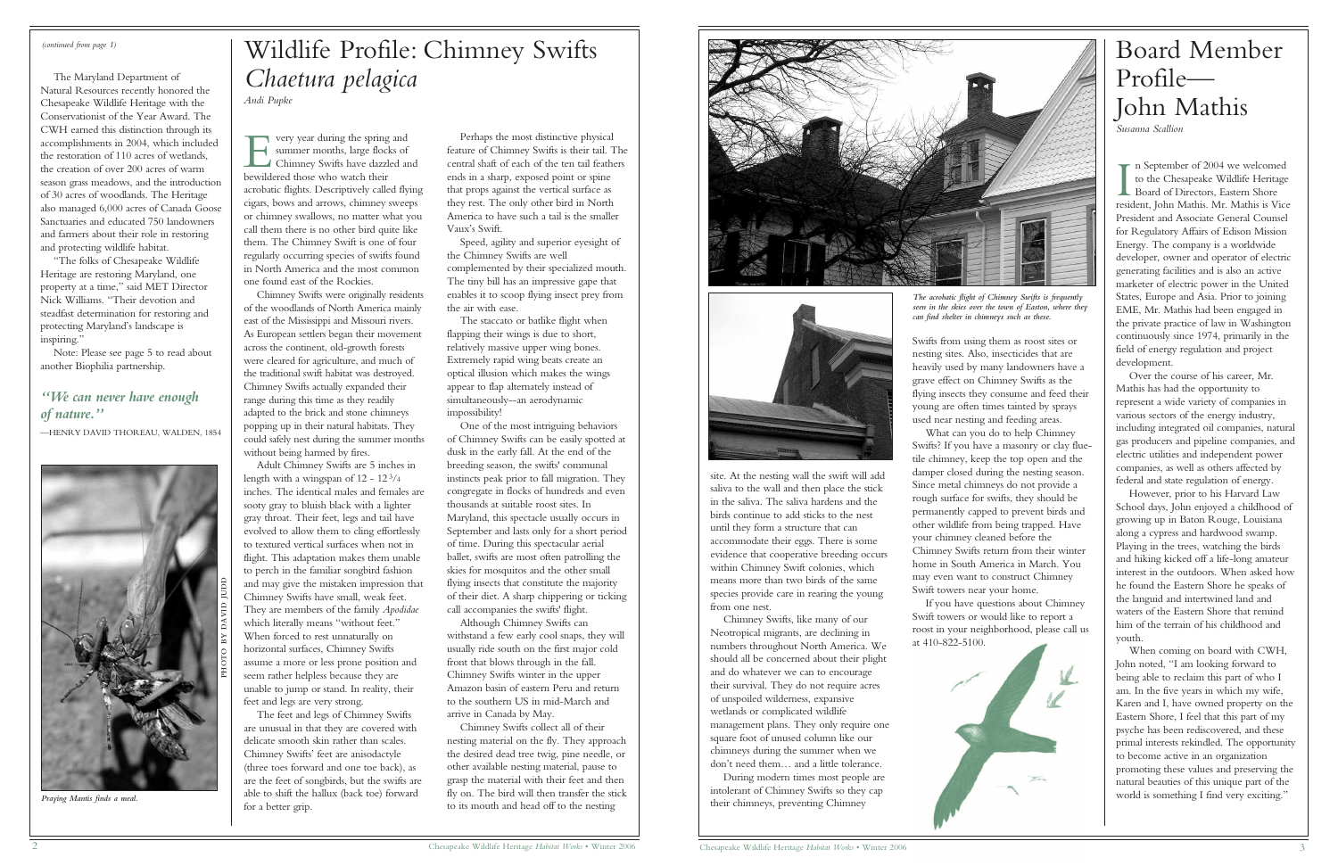# Board Member Profile— John Mathis

*Susanna Scallion*

In September of 2004 we welcomed<br>to the Chesapeake Wildlife Heritage<br>Board of Directors, Eastern Shore<br>resident John Mathis, Mr. Mathis is Vic to the Chesapeake Wildlife Heritage Board of Directors, Eastern Shore resident, John Mathis. Mr. Mathis is Vice President and Associate General Counsel for Regulatory Affairs of Edison Mission Energy. The company is a worldwide developer, owner and operator of electric generating facilities and is also an active marketer of electric power in the United States, Europe and Asia. Prior to joining EME, Mr. Mathis had been engaged in the private practice of law in Washington continuously since 1974, primarily in the field of energy regulation and project development.

Over the course of his career, Mr. Mathis has had the opportunity to represent a wide variety of companies in various sectors of the energy industry, including integrated oil companies, natural gas producers and pipeline companies, and electric utilities and independent power companies, as well as others affected by federal and state regulation of energy.

However, prior to his Harvard Law School days, John enjoyed a childhood of growing up in Baton Rouge, Louisiana along a cypress and hardwood swamp. Playing in the trees, watching the birds and hiking kicked off a life-long amateur interest in the outdoors. When asked how he found the Eastern Shore he speaks of the languid and intertwined land and waters of the Eastern Shore that remind him of the terrain of his childhood and youth.

When coming on board with CWH, John noted, "I am looking forward to being able to reclaim this part of who I am. In the five years in which my wife, Karen and I, have owned property on the Eastern Shore, I feel that this part of my psyche has been rediscovered, and these primal interests rekindled. The opportunity to become active in an organization promoting these values and preserving the natural beauties of this unique part of the world is something I find very exciting."

E<br>bewild very year during the spring and summer months, large flocks of Chimney Swifts have dazzled and bewildered those who watch their acrobatic flights. Descriptively called flying cigars, bows and arrows, chimney sweeps or chimney swallows, no matter what you call them there is no other bird quite like them. The Chimney Swift is one of four regularly occurring species of swifts found in North America and the most common one found east of the Rockies.

#### *(continued from page 1)*

The Maryland Department of Natural Resources recently honored the Chesapeake Wildlife Heritage with the Conservationist of the Year Award. The CWH earned this distinction through its accomplishments in 2004, which included the restoration of 110 acres of wetlands, the creation of over 200 acres of warm season grass meadows, and the introduction of 30 acres of woodlands. The Heritage also managed 6,000 acres of Canada Goose Sanctuaries and educated 750 landowners and farmers about their role in restoring and protecting wildlife habitat.

"The folks of Chesapeake Wildlife Heritage are restoring Maryland, one property at a time," said MET Director Nick Williams. "Their devotion and steadfast determination for restoring and protecting Maryland's landscape is inspiring."

Note: Please see page 5 to read about another Biophilia partnership.

### *"We can never have enough of nature."*

—HENRY DAVID THOREAU, WALDEN, 1854

Chimney Swifts were originally residents of the woodlands of North America mainly east of the Mississippi and Missouri rivers. As European settlers began their movement across the continent, old-growth forests were cleared for agriculture, and much of the traditional swift habitat was destroyed. Chimney Swifts actually expanded their range during this time as they readily adapted to the brick and stone chimneys popping up in their natural habitats. They could safely nest during the summer months without being harmed by fires.

Adult Chimney Swifts are 5 inches in length with a wingspan of  $12 - 12^{3/4}$ inches. The identical males and females are sooty gray to bluish black with a lighter gray throat. Their feet, legs and tail have evolved to allow them to cling effortlessly to textured vertical surfaces when not in flight. This adaptation makes them unable to perch in the familiar songbird fashion and may give the mistaken impression that Chimney Swifts have small, weak feet. They are members of the family *Apodidae* which literally means "without feet." When forced to rest unnaturally on horizontal surfaces, Chimney Swifts assume a more or less prone position and seem rather helpless because they are unable to jump or stand. In reality, their feet and legs are very strong.

The feet and legs of Chimney Swifts are unusual in that they are covered with delicate smooth skin rather than scales. Chimney Swifts' feet are anisodactyle (three toes forward and one toe back), as are the feet of songbirds, but the swifts are able to shift the hallux (back toe) forward for a better grip.

Perhaps the most distinctive physical feature of Chimney Swifts is their tail. The central shaft of each of the ten tail feathers ends in a sharp, exposed point or spine that props against the vertical surface as they rest. The only other bird in North America to have such a tail is the smaller Vaux's Swift.

Speed, agility and superior eyesight of the Chimney Swifts are well complemented by their specialized mouth. The tiny bill has an impressive gape that enables it to scoop flying insect prey from the air with ease.

The staccato or batlike flight when flapping their wings is due to short, relatively massive upper wing bones. Extremely rapid wing beats create an optical illusion which makes the wings appear to flap alternately instead of simultaneously--an aerodynamic impossibility!

One of the most intriguing behaviors of Chimney Swifts can be easily spotted at dusk in the early fall. At the end of the breeding season, the swifts' communal instincts peak prior to fall migration. They congregate in flocks of hundreds and even thousands at suitable roost sites. In Maryland, this spectacle usually occurs in September and lasts only for a short period of time. During this spectacular aerial ballet, swifts are most often patrolling the skies for mosquitos and the other small flying insects that constitute the majority of their diet. A sharp chippering or ticking call accompanies the swifts' flight.

Although Chimney Swifts can withstand a few early cool snaps, they will usually ride south on the first major cold front that blows through in the fall. Chimney Swifts winter in the upper Amazon basin of eastern Peru and return to the southern US in mid-March and arrive in Canada by May.

Chimney Swifts collect all of their nesting material on the fly. They approach the desired dead tree twig, pine needle, or other available nesting material, pause to grasp the material with their feet and then fly on. The bird will then transfer the stick to its mouth and head off to the nesting





# Wildlife Profile: Chimney Swifts *Chaetura pelagica*

*Andi Pupke*

site. At the nesting wall the swift will add saliva to the wall and then place the stick in the saliva. The saliva hardens and the birds continue to add sticks to the nest until they form a structure that can accommodate their eggs. There is some evidence that cooperative breeding occurs within Chimney Swift colonies, which means more than two birds of the same species provide care in rearing the young from one nest.

Chimney Swifts, like many of our Neotropical migrants, are declining in numbers throughout North America. We should all be concerned about their plight and do whatever we can to encourage their survival. They do not require acres of unspoiled wilderness, expansive wetlands or complicated wildlife management plans. They only require one square foot of unused column like our chimneys during the summer when we don't need them… and a little tolerance.

During modern times most people are intolerant of Chimney Swifts so they cap their chimneys, preventing Chimney

Swifts from using them as roost sites or nesting sites. Also, insecticides that are heavily used by many landowners have a grave effect on Chimney Swifts as the flying insects they consume and feed their young are often times tainted by sprays used near nesting and feeding areas. What can you do to help Chimney Swifts? If you have a masonry or clay fluetile chimney, keep the top open and the damper closed during the nesting season. Since metal chimneys do not provide a rough surface for swifts, they should be permanently capped to prevent birds and other wildlife from being trapped. Have your chimney cleaned before the Chimney Swifts return from their winter home in South America in March. You may even want to construct Chimney Swift towers near your home.

If you have questions about Chimney Swift towers or would like to report a roost in your neighborhood, please call us at 410-822-5100.



*The acrobatic flight of Chimney Swifts is frequently seen in the skies over the town of Easton, where they*

*can find shelter in chimneys such as these.* 



*Praying Mantis finds a meal.*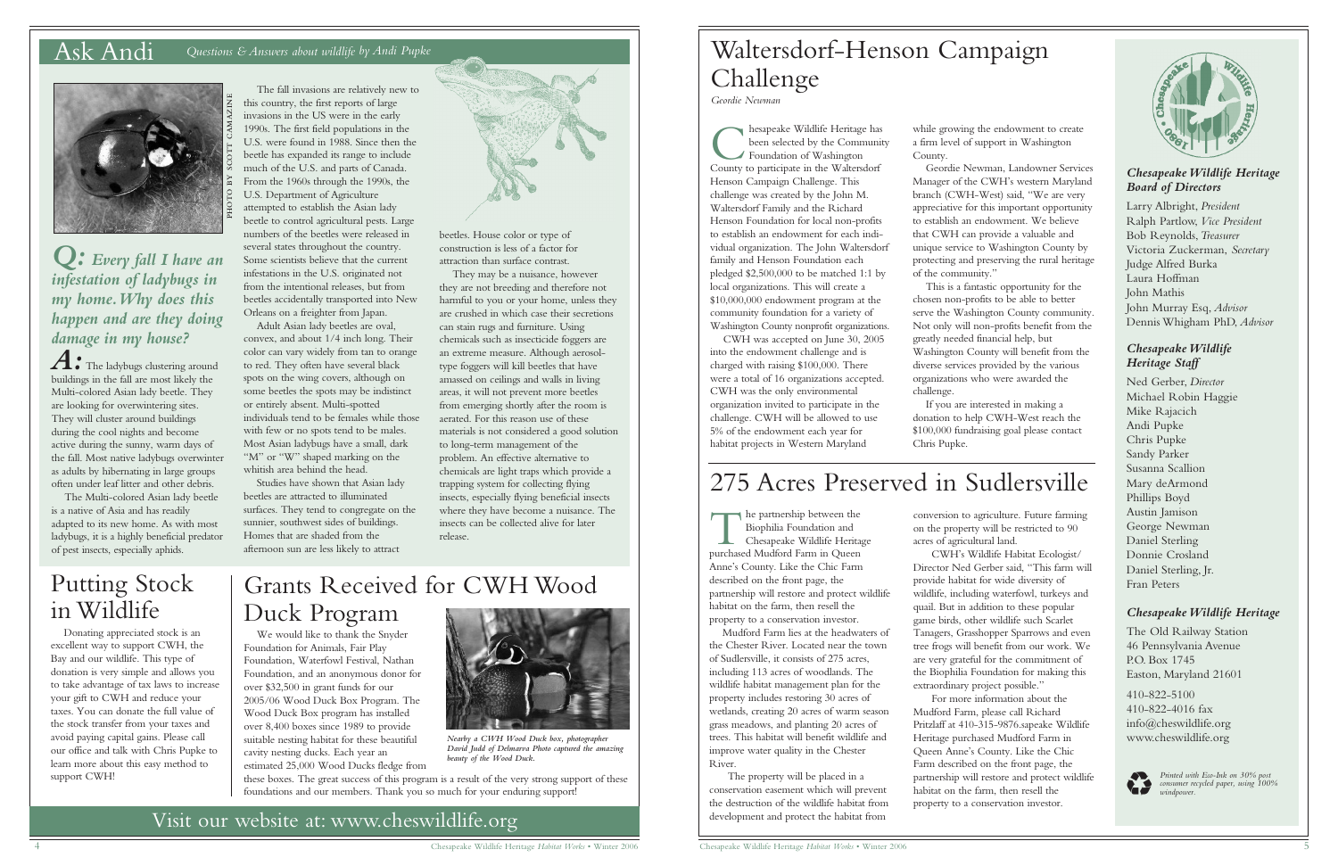#### *Chesapeake Wildlife Heritage Board of Directors*

Larry Albright, *President* Ralph Partlow, *Vice President* Bob Reynolds,*Treasurer* Victoria Zuckerman, *Secretary* Judge Alfred Burka Laura Hoffman John Mathis John Murray Esq, *Advisor* Dennis Whigham PhD, *Advisor*

#### *Chesapeake Wildlife Heritage Staff*

Ned Gerber, *Director* Michael Robin Haggie Mike Rajacich Andi Pupke Chris Pupke Sandy Parker Susanna Scallion Mary deArmond Phillips Boyd Austin Jamison George Newman Daniel Sterling Donnie Crosland Daniel Sterling, Jr. Fran Peters

#### *Chesapeake Wildlife Heritage*

The Old Railway Station 46 Pennsylvania Avenue P.O. Box 1745 Easton, Maryland 21601

410-822-5100 410-822-4016 fax info@cheswildlife.org www.cheswildlife.org



*Printed with Eco-Ink on 30% post*<br> *consumer recycled paper, using 100%*<br> *windpower.* 

## Ask Andi *Questions & Answers about wildlife by Andi Pupke*



The fall invasions are relatively new to this country, the first reports of large invasions in the US were in the early 1990s. The first field populations in the U.S. were found in 1988. Since then the beetle has expanded its range to include much of the U.S. and parts of Canada. From the 1960s through the 1990s, the U.S. Department of Agriculture attempted to establish the Asian lady beetle to control agricultural pests. Large numbers of the beetles were released in several states throughout the country. Some scientists believe that the current infestations in the U.S. originated not from the intentional releases, but from beetles accidentally transported into New Orleans on a freighter from Japan.

A: The ladybugs clustering around buildings in the fall are most likely the Multi-colored Asian lady beetle. They are looking for overwintering sites. They will cluster around buildings during the cool nights and become active during the sunny, warm days of the fall. Most native ladybugs overwinter as adults by hibernating in large groups often under leaf litter and other debris.

They may be a nuisance, however they are not breeding and therefore not harmful to you or your home, unless they are crushed in which case their secretions can stain rugs and furniture. Using chemicals such as insecticide foggers are an extreme measure. Although aerosoltype foggers will kill beetles that have amassed on ceilings and walls in living areas, it will not prevent more beetles from emerging shortly after the room is aerated. For this reason use of these materials is not considered a good solution to long-term management of the problem. An effective alternative to chemicals are light traps which provide a trapping system for collecting flying insects, especially flying beneficial insects where they have become a nuisance. The insects can be collected alive for later release. A Chesapeake Winter of the control of the same signal spin of the same signal spin of the same signal spin of the same signal spin of the same signal spin of the same signal spin of the same signal spin of the same signal

Adult Asian lady beetles are oval, convex, and about 1/4 inch long. Their color can vary widely from tan to orange to red. They often have several black spots on the wing covers, although on some beetles the spots may be indistinct or entirely absent. Multi-spotted individuals tend to be females while those with few or no spots tend to be males. Most Asian ladybugs have a small, dark "M" or "W" shaped marking on the whitish area behind the head.

Studies have shown that Asian lady beetles are attracted to illuminated surfaces. They tend to congregate on the sunnier, southwest sides of buildings. Homes that are shaded from the afternoon sun are less likely to attract

*Q: Every fall I have an infestation of ladybugs in my home.Why does this happen and are they doing damage in my house?*

**C** hesapeake Wildlife Heritage has<br>been selected by the Communi<br>County to participate in the Waltersdorf hesapeake Wildlife Heritage has been selected by the Community Foundation of Washington

The Multi-colored Asian lady beetle is a native of Asia and has readily adapted to its new home. As with most ladybugs, it is a highly beneficial predator of pest insects, especially aphids.

beetles. House color or type of construction is less of a factor for attraction than surface contrast.

> The partnership between the<br>Biophilia Foundation and<br>Chesapeake Wildlife Herita<br>purchased Mudford Farm in Queen he partnership between the Biophilia Foundation and Chesapeake Wildlife Heritage Anne's County. Like the Chic Farm described on the front page, the partnership will restore and protect wildlife habitat on the farm, then resell the property to a conservation investor.

Waltersdorf-Henson Campaign Challenge *Geordie Newman*

> while growing the endowment to create a firm level of support in Washington

County.

Geordie Newman, Landowner Services Manager of the CWH's western Maryland branch (CWH-West) said, "We are very appreciative for this important opportunity to establish an endowment. We believe that CWH can provide a valuable and unique service to Washington County by protecting and preserving the rural heritage of the community."

This is a fantastic opportunity for the chosen non-profits to be able to better serve the Washington County community. Not only will non-profits benefit from the greatly needed financial help, but Washington County will benefit from the diverse services provided by the various organizations who were awarded the challenge.

If you are interested in making a donation to help CWH-West reach the \$100,000 fundraising goal please contact



Chris Pupke.

Henson Campaign Challenge. This challenge was created by the John M. Waltersdorf Family and the Richard Henson Foundation for local non-profits to establish an endowment for each individual organization. The John Waltersdorf family and Henson Foundation each pledged \$2,500,000 to be matched 1:1 by local organizations. This will create a \$10,000,000 endowment program at the community foundation for a variety of

Washington County nonprofit organizations. CWH was accepted on June 30, 2005 into the endowment challenge and is charged with raising \$100,000. There were a total of 16 organizations accepted. CWH was the only environmental organization invited to participate in the challenge. CWH will be allowed to use 5% of the endowment each year for habitat projects in Western Maryland

Mudford Farm lies at the headwaters of the Chester River. Located near the town of Sudlersville, it consists of 275 acres, including 113 acres of woodlands. The wildlife habitat management plan for the property includes restoring 30 acres of wetlands, creating 20 acres of warm season grass meadows, and planting 20 acres of trees. This habitat will benefit wildlife and improve water quality in the Chester River.

The property will be placed in a conservation easement which will prevent the destruction of the wildlife habitat from development and protect the habitat from

# 275 Acres Preserved in Sudlersville

conversion to agriculture. Future farming on the property will be restricted to 90 acres of agricultural land.

CWH's Wildlife Habitat Ecologist/ Director Ned Gerber said, "This farm will provide habitat for wide diversity of wildlife, including waterfowl, turkeys and quail. But in addition to these popular game birds, other wildlife such Scarlet Tanagers, Grasshopper Sparrows and even tree frogs will benefit from our work. We are very grateful for the commitment of the Biophilia Foundation for making this extraordinary project possible."

For more information about the Mudford Farm, please call Richard Pritzlaff at 410-315-9876.sapeake Wildlife Heritage purchased Mudford Farm in Queen Anne's County. Like the Chic Farm described on the front page, the partnership will restore and protect wildlife habitat on the farm, then resell the property to a conservation investor.

## Putting Stock in Wildlife

Donating appreciated stock is an excellent way to support CWH, the Bay and our wildlife. This type of donation is very simple and allows you to take advantage of tax laws to increase your gift to CWH and reduce your taxes. You can donate the full value of the stock transfer from your taxes and avoid paying capital gains. Please call our office and talk with Chris Pupke to learn more about this easy method to support CWH!

# Grants Received for CWH Wood Duck Program

We would like to thank the Snyder Foundation for Animals, Fair Play Foundation, Waterfowl Festival, Nathan Foundation, and an anonymous donor for over \$32,500 in grant funds for our 2005/06 Wood Duck Box Program. The Wood Duck Box program has installed over 8,400 boxes since 1989 to provide suitable nesting habitat for these beautiful cavity nesting ducks. Each year an estimated 25,000 Wood Ducks fledge from

these boxes. The great success of this program is a result of the very strong support of these foundations and our members. Thank you so much for your enduring support!



*Nearby a CWH Wood Duck box, photographer David Judd of Delmarva Photo captured the amazing beauty of the Wood Duck.*

## Visit our website at: www.cheswildlife.org